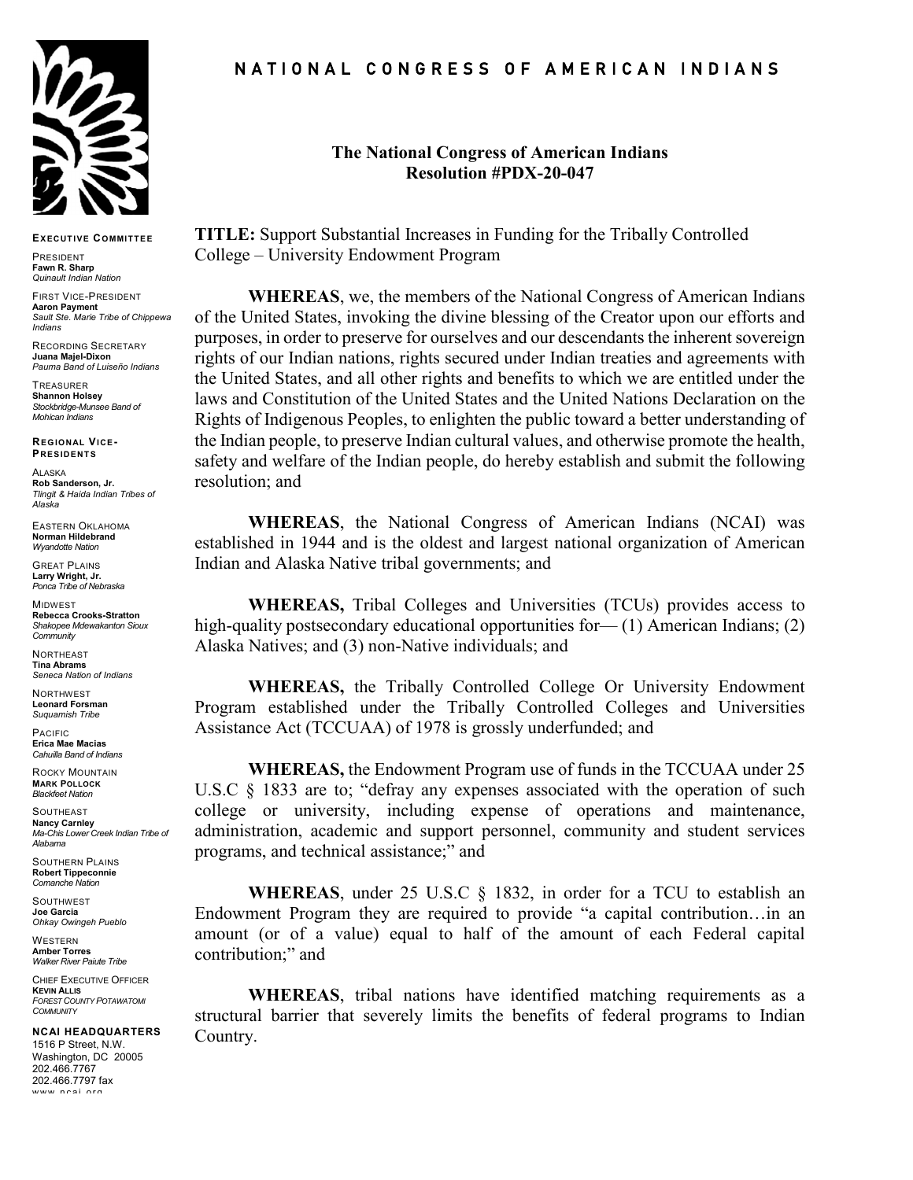

**EXECUTIVE COMMITTEE**

PRESIDENT **Fawn R. Sharp** *Quinault Indian Nation*

FIRST VICE-PRESIDENT **Aaron Payment** *Sault Ste. Marie Tribe of Chippewa Indians*

RECORDING SECRETARY **Juana Majel-Dixon** *Pauma Band of Luiseño Indians*

**TREASURER Shannon Holsey** *Stockbridge-Munsee Band of Mohican Indians*

**REGIONAL VICE-PRESIDENTS**

ALASKA **Rob Sanderson, Jr.** *Tlingit & Haida Indian Tribes of Alaska*

EASTERN OKLAHOMA **Norman Hildebrand** *Wyandotte Nation*

GREAT PLAINS **Larry Wright, Jr.** *Ponca Tribe of Nebraska*

**MIDWEST Rebecca Crooks-Stratton** *Shakopee Mdewakanton Sioux Community*

**NORTHEAST Tina Abrams** *Seneca Nation of Indians*

NORTHWEST **Leonard Forsman** *Suquamish Tribe*

PACIFIC **Erica Mae Macias** *Cahuilla Band of Indians*

ROCKY MOUNTAIN **MARK POLLOCK** 

*Blackfeet Nation* **SOUTHEAST Nancy Carnley** *Ma-Chis Lower Creek Indian Tribe of Alabama*

SOUTHERN PLAINS **Robert Tippeconnie** *Comanche Nation*

SOUTHWEST **Joe Garcia** *Ohkay Owingeh Pueblo*

**WESTERN Amber Torres** *Walker River Paiute Tribe*

CHIEF EXECUTIVE OFFICER **KEVIN ALLIS** *FOREST COUNTY POTAWATOMI COMMUNITY*

**NCAI HEADQUARTERS** 1516 P Street, N.W. Washington, DC 20005 202.466.7767 202.466.7797 fax www ncai ord

## N A T I O N A L C O N G R E S S O F A M E R I C A N I N D I A N S

## **The National Congress of American Indians Resolution #PDX-20-047**

**TITLE:** Support Substantial Increases in Funding for the Tribally Controlled College – University Endowment Program

**WHEREAS**, we, the members of the National Congress of American Indians of the United States, invoking the divine blessing of the Creator upon our efforts and purposes, in order to preserve for ourselves and our descendants the inherent sovereign rights of our Indian nations, rights secured under Indian treaties and agreements with the United States, and all other rights and benefits to which we are entitled under the laws and Constitution of the United States and the United Nations Declaration on the Rights of Indigenous Peoples, to enlighten the public toward a better understanding of the Indian people, to preserve Indian cultural values, and otherwise promote the health, safety and welfare of the Indian people, do hereby establish and submit the following resolution; and

**WHEREAS**, the National Congress of American Indians (NCAI) was established in 1944 and is the oldest and largest national organization of American Indian and Alaska Native tribal governments; and

**WHEREAS,** Tribal Colleges and Universities (TCUs) provides access to high-quality postsecondary educational opportunities for— (1) American Indians; (2) Alaska Natives; and (3) non-Native individuals; and

**WHEREAS,** the Tribally Controlled College Or University Endowment Program established under the Tribally Controlled Colleges and Universities Assistance Act (TCCUAA) of 1978 is grossly underfunded; and

**WHEREAS,** the Endowment Program use of funds in the TCCUAA under 25 U.S.C § 1833 are to; "defray any expenses associated with the operation of such college or university, including expense of operations and maintenance, administration, academic and support personnel, community and student services programs, and technical assistance;" and

**WHEREAS**, under 25 U.S.C § 1832, in order for a TCU to establish an Endowment Program they are required to provide "a capital contribution…in an amount (or of a value) equal to half of the amount of each Federal capital contribution;" and

**WHEREAS**, tribal nations have identified matching requirements as a structural barrier that severely limits the benefits of federal programs to Indian Country.